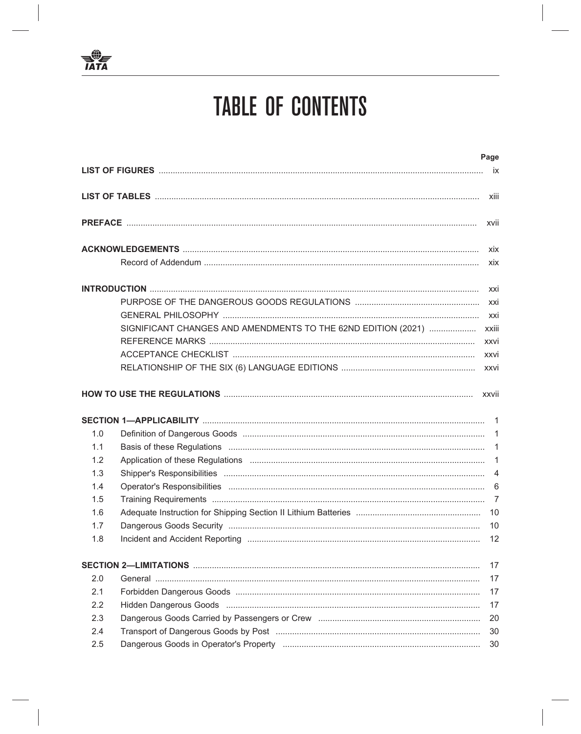## **TABLE OF CONTENTS**

|     |                                                               | Page        |
|-----|---------------------------------------------------------------|-------------|
|     |                                                               |             |
|     |                                                               | xiii        |
|     |                                                               | xvii        |
|     |                                                               | <b>XIX</b>  |
|     |                                                               | XİX         |
|     |                                                               | xxi         |
|     |                                                               |             |
|     |                                                               |             |
|     | SIGNIFICANT CHANGES AND AMENDMENTS TO THE 62ND EDITION (2021) | xxiii       |
|     |                                                               | xxvi        |
|     |                                                               | <b>XXVI</b> |
|     |                                                               | xxvi        |
|     |                                                               | xxvii       |
|     |                                                               |             |
| 1.0 |                                                               |             |
| 1.1 |                                                               |             |
| 1.2 |                                                               |             |
| 1.3 |                                                               |             |
| 1.4 |                                                               |             |
| 1.5 |                                                               |             |
| 1.6 |                                                               | 10          |
| 1.7 |                                                               | 10          |
| 1.8 |                                                               | 12          |
|     |                                                               | 17          |
| 2.0 |                                                               | 17          |
| 2.1 |                                                               | 17          |
| 2.2 |                                                               | 17          |
| 2.3 |                                                               | 20          |
| 2.4 |                                                               | 30          |
| 2.5 |                                                               | 30          |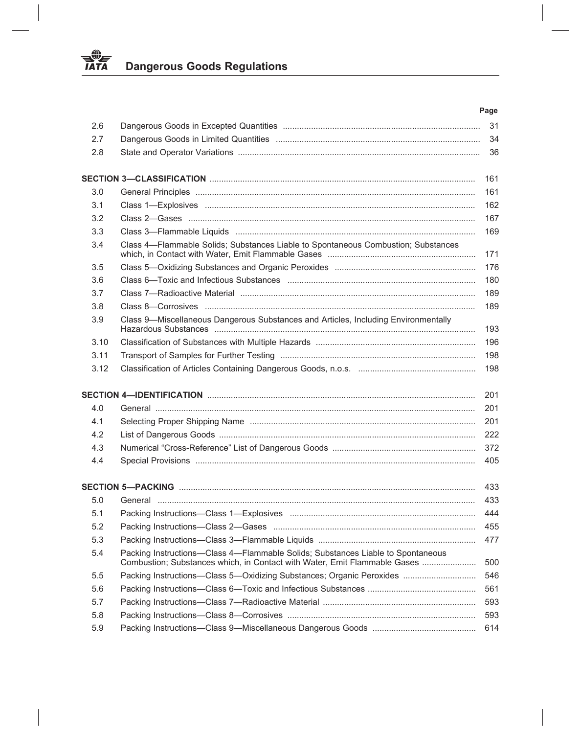## **Page**

| 2.6  |                                                                                                                                                              |     |
|------|--------------------------------------------------------------------------------------------------------------------------------------------------------------|-----|
| 2.7  |                                                                                                                                                              |     |
| 2.8  |                                                                                                                                                              | 36  |
|      |                                                                                                                                                              | 161 |
| 3.0  |                                                                                                                                                              | 161 |
| 3.1  |                                                                                                                                                              | 162 |
| 3.2  |                                                                                                                                                              | 167 |
| 3.3  |                                                                                                                                                              | 169 |
| 3.4  | Class 4-Flammable Solids; Substances Liable to Spontaneous Combustion; Substances                                                                            | 171 |
| 3.5  |                                                                                                                                                              | 176 |
| 3.6  |                                                                                                                                                              | 180 |
| 3.7  |                                                                                                                                                              | 189 |
| 3.8  |                                                                                                                                                              | 189 |
| 3.9  | Class 9-Miscellaneous Dangerous Substances and Articles, Including Environmentally                                                                           | 193 |
| 3.10 |                                                                                                                                                              | 196 |
| 3.11 |                                                                                                                                                              | 198 |
| 3.12 |                                                                                                                                                              | 198 |
|      |                                                                                                                                                              | 201 |
| 4.0  |                                                                                                                                                              | 201 |
| 4.1  |                                                                                                                                                              | 201 |
| 4.2  |                                                                                                                                                              | 222 |
| 4.3  |                                                                                                                                                              | 372 |
| 4.4  |                                                                                                                                                              | 405 |
|      |                                                                                                                                                              | 433 |
| 5.0  |                                                                                                                                                              | 433 |
| 5.1  |                                                                                                                                                              | 444 |
| 5.2  |                                                                                                                                                              | 455 |
| 5.3  |                                                                                                                                                              | 477 |
| 5.4  | Packing Instructions-Class 4-Flammable Solids; Substances Liable to Spontaneous<br>Combustion; Substances which, in Contact with Water, Emit Flammable Gases | 500 |
| 5.5  | Packing Instructions-Class 5-Oxidizing Substances; Organic Peroxides                                                                                         | 546 |
| 5.6  |                                                                                                                                                              | 561 |
| 5.7  |                                                                                                                                                              | 593 |
| 5.8  |                                                                                                                                                              | 593 |
| 5.9  |                                                                                                                                                              | 614 |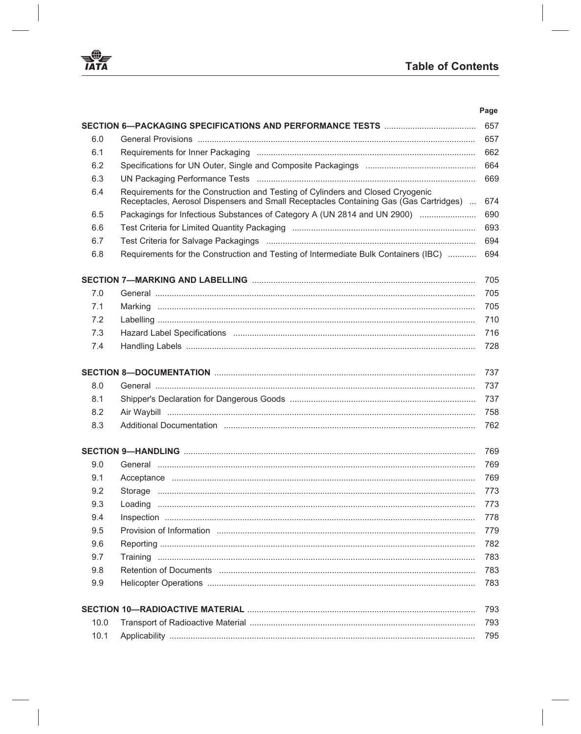|      |                                                                                                                                                                          | Page |
|------|--------------------------------------------------------------------------------------------------------------------------------------------------------------------------|------|
|      |                                                                                                                                                                          | 657  |
| 6.0  |                                                                                                                                                                          | 657  |
| 6.1  |                                                                                                                                                                          | 662  |
| 6.2  |                                                                                                                                                                          | 664  |
| 6.3  |                                                                                                                                                                          | 669  |
| 6.4  | Requirements for the Construction and Testing of Cylinders and Closed Cryogenic<br>Receptacles, Aerosol Dispensers and Small Receptacles Containing Gas (Gas Cartridges) | 674  |
| 6.5  | Packagings for Infectious Substances of Category A (UN 2814 and UN 2900)                                                                                                 | 690  |
| 6.6  |                                                                                                                                                                          | 693  |
| 6.7  |                                                                                                                                                                          | 694  |
| 6.8  | Requirements for the Construction and Testing of Intermediate Bulk Containers (IBC)                                                                                      | 694  |
|      |                                                                                                                                                                          | 705  |
| 7.0  |                                                                                                                                                                          | 705  |
| 7.1  |                                                                                                                                                                          | 705  |
| 7.2  |                                                                                                                                                                          | 710  |
| 7.3  |                                                                                                                                                                          | 716  |
| 7.4  |                                                                                                                                                                          | 728  |
|      |                                                                                                                                                                          | 737  |
| 8.0  |                                                                                                                                                                          | 737  |
| 8.1  |                                                                                                                                                                          | 737  |
| 8.2  |                                                                                                                                                                          | 758  |
| 8.3  |                                                                                                                                                                          | 762  |
|      |                                                                                                                                                                          | 769  |
| 9.0  |                                                                                                                                                                          | 769  |
| 9.1  |                                                                                                                                                                          | 769  |
| 9.2  |                                                                                                                                                                          | 773  |
| 9.3  |                                                                                                                                                                          | 773  |
| 9.4  |                                                                                                                                                                          | 778  |
| 9.5  |                                                                                                                                                                          | 779  |
| 9.6  |                                                                                                                                                                          | 782  |
| 9.7  |                                                                                                                                                                          | 783  |
| 9.8  |                                                                                                                                                                          | 783  |
| 9.9  |                                                                                                                                                                          | 783  |
|      |                                                                                                                                                                          | 793  |
| 10.0 |                                                                                                                                                                          | 793  |
| 10.1 |                                                                                                                                                                          | 795  |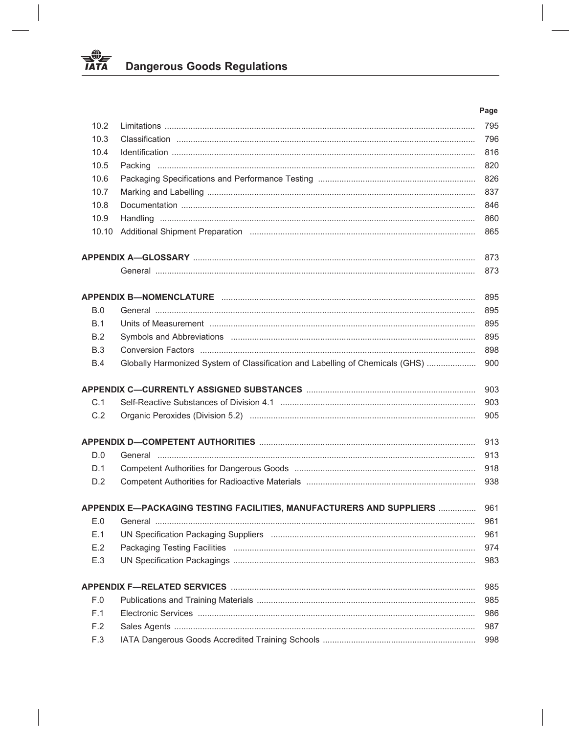|   | Page |
|---|------|
| . | 95   |

| 10.2       |                                                                               | 795 |
|------------|-------------------------------------------------------------------------------|-----|
| 10.3       |                                                                               | 796 |
| 10.4       |                                                                               | 816 |
| 10.5       |                                                                               | 820 |
| 10.6       |                                                                               | 826 |
| 10.7       |                                                                               | 837 |
| 10.8       |                                                                               | 846 |
| 10.9       |                                                                               | 860 |
| 10.10      |                                                                               | 865 |
|            |                                                                               | 873 |
|            |                                                                               | 873 |
|            |                                                                               |     |
|            |                                                                               | 895 |
| B.0        |                                                                               | 895 |
| B.1        |                                                                               | 895 |
| B.2        |                                                                               | 895 |
| <b>B.3</b> |                                                                               | 898 |
| <b>B.4</b> | Globally Harmonized System of Classification and Labelling of Chemicals (GHS) | 900 |
|            |                                                                               | 903 |
| C.1        |                                                                               | 903 |
| C.2        |                                                                               | 905 |
|            |                                                                               | 913 |
| D.0        |                                                                               | 913 |
| D.1        |                                                                               | 918 |
| D.2        |                                                                               | 938 |
|            | APPENDIX E-PACKAGING TESTING FACILITIES, MANUFACTURERS AND SUPPLIERS          | 961 |
| E.0        |                                                                               | 961 |
| E.1        |                                                                               | 961 |
| E.2        |                                                                               | 974 |
| E.3        |                                                                               | 983 |
|            |                                                                               |     |
|            |                                                                               | 985 |
| F.0        |                                                                               | 985 |
| F.1        |                                                                               | 986 |
| F.2        |                                                                               | 987 |
| F.3        |                                                                               | 998 |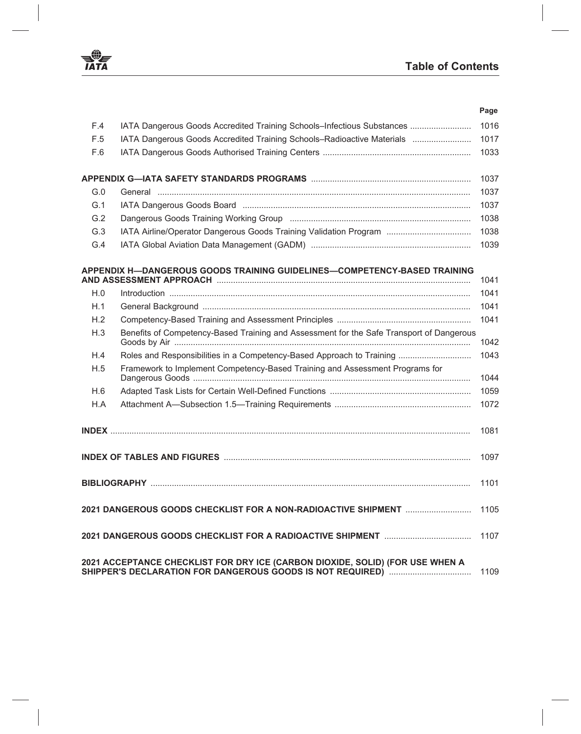

**Page**

| F.4  | IATA Dangerous Goods Accredited Training Schools-Infectious Substances                   | 1016 |  |  |  |  |  |  |  |
|------|------------------------------------------------------------------------------------------|------|--|--|--|--|--|--|--|
| F.5  | IATA Dangerous Goods Accredited Training Schools-Radioactive Materials                   | 1017 |  |  |  |  |  |  |  |
| F.6  | 1033                                                                                     |      |  |  |  |  |  |  |  |
|      |                                                                                          | 1037 |  |  |  |  |  |  |  |
| G.0  |                                                                                          | 1037 |  |  |  |  |  |  |  |
| G.1  |                                                                                          | 1037 |  |  |  |  |  |  |  |
| G.2  |                                                                                          | 1038 |  |  |  |  |  |  |  |
| G.3  | IATA Airline/Operator Dangerous Goods Training Validation Program                        | 1038 |  |  |  |  |  |  |  |
| G.4  |                                                                                          | 1039 |  |  |  |  |  |  |  |
|      | APPENDIX H-DANGEROUS GOODS TRAINING GUIDELINES-COMPETENCY-BASED TRAINING                 | 1041 |  |  |  |  |  |  |  |
| H.0  |                                                                                          | 1041 |  |  |  |  |  |  |  |
| H.1  |                                                                                          | 1041 |  |  |  |  |  |  |  |
| H.2  |                                                                                          | 1041 |  |  |  |  |  |  |  |
| H.3  | Benefits of Competency-Based Training and Assessment for the Safe Transport of Dangerous | 1042 |  |  |  |  |  |  |  |
| H.4  | Roles and Responsibilities in a Competency-Based Approach to Training                    | 1043 |  |  |  |  |  |  |  |
| H.5  | Framework to Implement Competency-Based Training and Assessment Programs for             | 1044 |  |  |  |  |  |  |  |
| H.6  |                                                                                          | 1059 |  |  |  |  |  |  |  |
| H.A  |                                                                                          | 1072 |  |  |  |  |  |  |  |
|      |                                                                                          | 1081 |  |  |  |  |  |  |  |
|      |                                                                                          | 1097 |  |  |  |  |  |  |  |
|      |                                                                                          | 1101 |  |  |  |  |  |  |  |
|      |                                                                                          | 1105 |  |  |  |  |  |  |  |
| 1107 |                                                                                          |      |  |  |  |  |  |  |  |
|      | 2021 ACCEPTANCE CHECKLIST FOR DRY ICE (CARBON DIOXIDE, SOLID) (FOR USE WHEN A            | 1109 |  |  |  |  |  |  |  |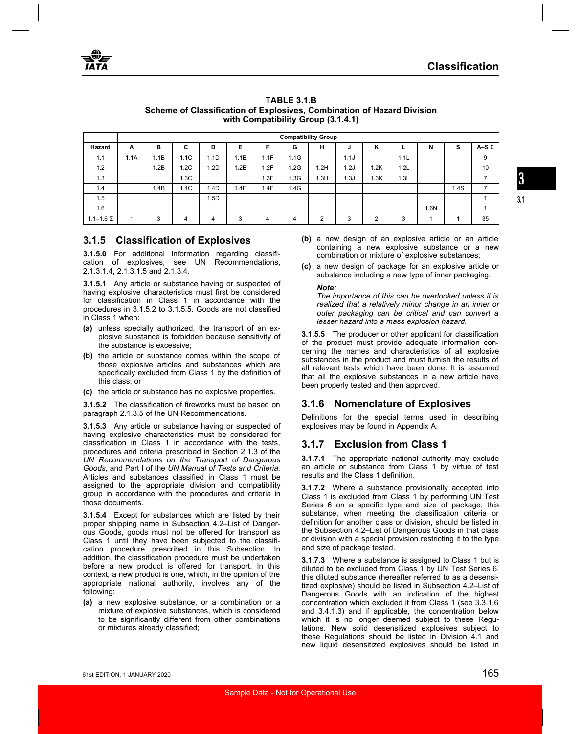

## **TABLE 3.1.B Scheme of Classification of Explosives, Combination of Hazard Division with Compatibility Group (3.1.4.1)**

|                      |      | <b>Compatibility Group</b> |      |      |      |      |      |        |      |        |                   |      |      |             |  |
|----------------------|------|----------------------------|------|------|------|------|------|--------|------|--------|-------------------|------|------|-------------|--|
| Hazard               | A    | в                          | C    | D    | Е    |      | G    | н      | п.   | κ      |                   | N    | s    | $A-S\Sigma$ |  |
| 1.1                  | 1.1A | 1.1B                       | 1.1C | 1.1D | 1.1E | 1.1F | 1.1G |        | 1.1J |        | 1.1L              |      |      | 9           |  |
| 1.2                  |      | 1.2B                       | 1.2C | .2D  | 2E   | 1.2F | 1.2G | 1.2H   | 1.2J | 1.2K   | 1.2L              |      |      | 10          |  |
| 1.3                  |      |                            | 1.3C |      |      | 1.3F | 1.3G | I.3H   | 1.3J | 1.3K   | 1.3L              |      |      | -           |  |
| 1.4                  |      | 1.4B                       | 1.4C | 1.4D | 1.4E | 1.4F | 1.4G |        |      |        |                   |      | 1.4S | ⇁           |  |
| 1.5                  |      |                            |      | .5D  |      |      |      |        |      |        |                   |      |      |             |  |
| 1.6                  |      |                            |      |      |      |      |      |        |      |        |                   | 1.6N |      |             |  |
| $1.1 - 1.6$ $\Sigma$ |      | $\mathbf{r}$               | 4    | 4    | 3    |      | 4    | $\sim$ |      | $\sim$ | $\mathbf{r}$<br>O |      |      | 35          |  |

**3.1.5.0** For additional information regarding classifi-<br>combination or mixture of explosive substances; cation of explosives, see UN Recommendations,<br>2.1.3.1.4, 2.1.3.1.5 and 2.1.3.4.<br>substance including a new type of inner packaging.

**3.1.5.1** Any article or substance having or suspected of<br>
having explosive characteristics must first be considered<br>
for classification in Class 1 in accordance with the<br>
procedures in 3.1.5.2 to 3.1.5.5. Goods are not cl

- **(a)** unless specially authorized, the transport of an ex-
- 
- **(c)** the article or substance has no explosive properties.

**3.1.5.2** The classification of fireworks must be based on **3.1.6 Nomenclature of Explosives**

**3.1.5.3** Any article or substance having or suspected of having explosive characteristics must be considered for classification in Class 1 in accordance with the tests, **3.1.7 Exclusion from Class 1** procedures and criteria prescribed in Section 2.1.3 of the *UN Recommendations on the Transport of Dangerous* **3.1.7.1** The appropriate national authority may exclude Goods, and Part I of the UN Manual of Tests and Criteria. an article or substance from Class 1 by virtue of test Articles and substances classified in Class 1 must be results and the Class 1 definition. assigned to the appropriate division and compatibility **3.1.7.2** Where a substance provisionally accepted into group in accordance with the procedures and criteria in Class 1 is excluded from Class 1 by performing UN Test

**3.1.5.4** Except for substances which are listed by their substance, when meeting the classification criteria or<br>Internal subsection anne in Subsection 4.2–List of Danger- definition for another class or division, should b proper shipping name in Subsection 4.2–List of Danger- definition for another class or division, should be listed in ous Goods, goods must not be offered for transport as the Subsection 4.2–List of Dangerous Goods in that class<br>Class 1 until they have been subjected to the classifi- or division with a special provision restricting it to Class 1 until they have been subjected to the classifi- or division with a special provision reserved.<br>Cation procedure prescribed in this Subsection. In and size of package tested. cation procedure prescribed in this Subsection. In addition, the classification procedure must be undertaken addition, the classification procedure must be undertaken **3.1.7.3** Where a substance is assigned to Class 1 but is before a new product is offered for transport. In this diluted to be excluded from Class 1 by UN Test Series 6,<br>context, a new product is one, which, in the opinion of the this diluted substance (bereafter referred to as a context, a new product is one, which, in the opinion of the this diluted substance (hereafter referred to as a desensi-<br>context, a new product is one, which, involves any of the this diluted substance (hereafter referred t appropriate national authority, involves any of the tized explosive) should be listed in Subsection 4.2–List of<br>Conds with an indication of the bighest

- **3.1.5 Classification of Explosives** (b) a new design of an explosive article or an article containing a new explosive substance or a new
	-

**3.1.5.5** The producer or other applicant for classification plosive substance is forbidden because sensitivity of **3.1.5.5** The producer or other applicant for classification the substance is excessive: of the product must provide adequate information concerning the names and characteristics of all explosive (b) the article or substance comes within the scope of those explosive articles and substances which are those explosive articles and substances which are specifically excluded from Class 1 by the definition of this class;

Definitions for the special terms used in describing explosives may be found in Appendix A.

group in accordance with the procedures and criteria in Class 1 is excluded from Class 1 by performing UN Test<br>Series 6 on a specific type and size of package, this Series 6 on a specific type and size of package, this substance, when meeting the classification criteria or

following:<br>(a) a new explosive substance, or a combination or a concentration which excluded it from Class 1 (see 3.3.1.6 concentration which excluded it from Class 1 (see 3.3.1.6) mixture of explosive substances, which is considered and 3.4.1.3) and if applicable, the concentration below<br>to be significantly different from other combinations which it is no longer deemed subject to these Reguto be significantly different from other combinations which it is no longer deemed subject to these Regu-<br>or mixtures already classified; explosives subject to lations. New solid desensitized explosives subject to these Regulations should be listed in Division 4.1 and new liquid desensitized explosives should be listed in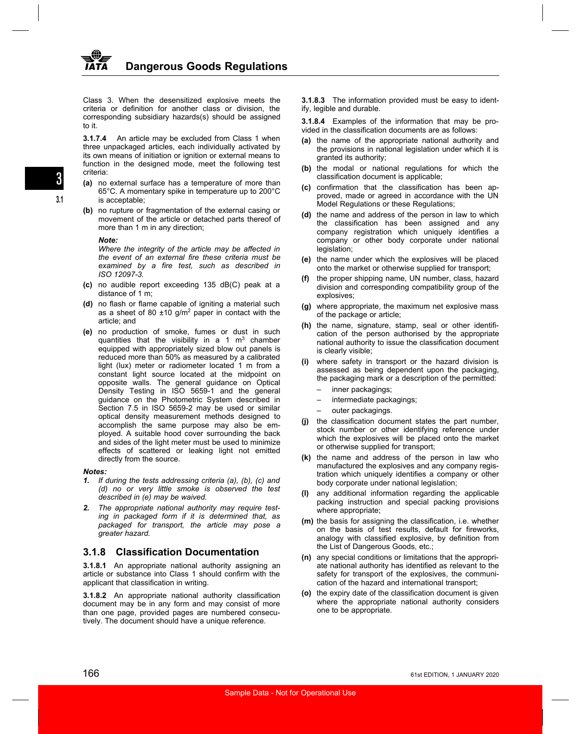criteria or definition for another class or division, the corresponding subsidiary hazards(s) should be assigned **3.1.8.4** Examples of the information that may be pro-<br>to it. vided in the classification documents are as follows:

**3.1.7.4** An article may be excluded from Class 1 when **(a)** the name of the appropriate national authority and three unpackaged articles, each individually activated by the provisions in national legislation under which it is its own means of initiation or ignition or external means to granted its authority;<br>function in the designed mode, meet the following test (b) the model or patient

- Function in the designed mode, meet the following test<br>
criteria:<br>
(a) no external surface has a temperature of more than<br>
65°C. A momentary spike in temperature up to 200°C<br>
is acceptable;<br>
3.1<br>
3.1<br>
3.1<br>
3.4<br>
3.4<br>
3.4<br>
3
	- (b) no rupture or fragmentation of the external casing or<br>
	movement of the article or detached parts thereof of<br>
	move than 1 m in any direction;<br>
	more than 1 m in any direction;<br>
	any company registration which uniquely ide

*Where the integrity of the article may be affected in* legislation; *the event of an external fire these criteria must be* **(e)** the name under which the explosives will be placed *examined by a fire test, such as described in* onto the market or otherwise supplied for transport;

- distance of 1 m;
- **(d)** no flash or flame capable of igniting a material such **(g)** where appropriate, the maximum net explosive mass as a sheet of 80  $\pm$ 10 g/m<sup>2</sup> paper in contact with the of the package or article;<br>article: and
- equipped with appropriately sized blow out panels is  $\frac{1}{1}$  is clearly visible; reduced more than 50% as measured by a calibrated  $\frac{1}{1}$  where eaterly in required more than 50% as measured by a calibrated<br>
light (lux) meter or radiometer located 1 m from a<br>
constant light source located at the midpoint on<br>
constant light source located at the midpoint on<br>
opposite walls. Th Density Testing in ISO 5659-1 and the general guidance on the Photometric System described in  $\qquad \qquad -$  intermediate packagings; Section 7.5 in ISO 5659-2 may be used or similar  $\overline{a}$  – outer packagings.<br>optical density measurement methods designed to  $\overline{a}$  and the international optical density measurement methods designed to<br>accomplish the same purpose may also be em-<br>ployed. A suitable hood cover surrounding the back<br>and sides of the light meter must be used to minimize<br>effects of scattered or l effects of scattered or leaking light not emitted<br>directly from the source.<br>**(k)** the name and address of the person in law who

- **1.** If during the tests addressing criteria (a), (b), (c) and body corporate under national legislation;<br>(d) no or very little smoke is observed the test (l) any additional information regarding the
- *2. The appropriate national authority may require test-*<br>*ing in packaged form if it is determined that, as*

## the List of Dangerous Goods, etc.; **3.1.8 Classification Documentation (n)** any special conditions or limitations that the appropri-

article or substance into Class 1 should confirm with the safety for transport of the explosives, the communi-<br>applicant that classification in writing.

document may be in any form and may consist of more the appropriate document may be in any form and may consist of more than one to be appropriate. than one page, provided pages are numbered consecutively. The document should have a unique reference.

Class 3. When the desensitized explosive meets the **3.1.8.3** The information provided must be easy to ident-<br>criteria or definition for another class or division, the ify, legible and durable.

- 
- 
- 
- **Note: Company or other body corporate under national company or other body corporate under national** 
	-
- ISO 12097-3.<br>**(f)** the proper shipping name, UN number, class, hazard **(d)** no audible report exceeding 135 dB(C) peak at a division and corresponding compatibility group of the division and corresponding compatibility group of the explosives;
	-
- article; and **(h)** the name, signature, stamp, seal or other identifi-<br>**(e)** no production of smoke, fumes or dust in such eartion of the person authorised by the appropriate cation of the person authorised by the appropriate quantities that the visibility in a 1  $m<sup>3</sup>$  chamber national authority to issue the classification document
	- -
		-
		-
	-
- manufactured the explosives and any company regis-*Notes:* tration which uniquely identifies a company or other
	- *(d) no or very little smoke is observed the test* **(l)** any additional information regarding the applicable *described in (e) may be waived.* packing instruction and special packing provisions
	- my in packaged for transport, the article may pose a<br>greater hazard. The article may pose a<br>greater hazard. analogy with classified explosive, by definition from
- **3.1.8.1** An appropriate national authority assigning an ate national authority has identified as relevant to the cation of the hazard and international transport;
- **(b)** the expiry date of the classification **3.1.8.2** An appropriate national authority considers document may be in any form and may consist of more where the appropriate national authority considers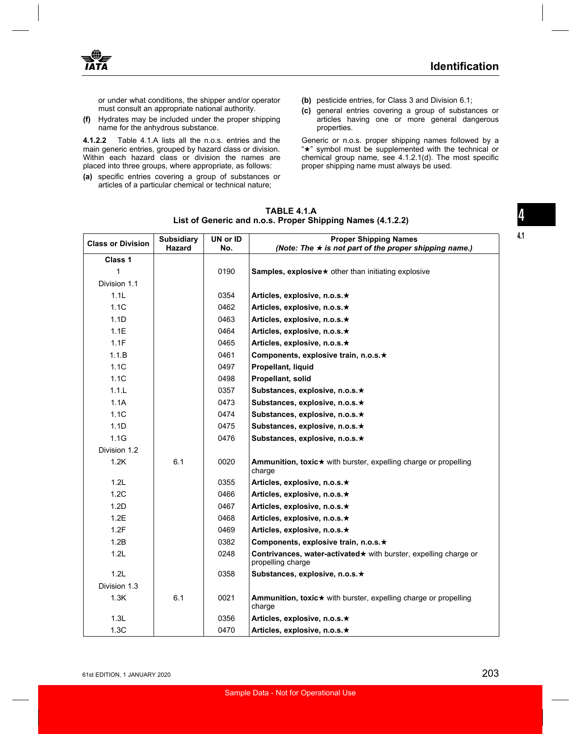or under what conditions, the shipper and/or operator **(b)** pesticide entries, for Class 3 and Division 6.1;<br>must consult an appropriate national authority.<br>**(c)** general entries covering a group of substar

name for the anhydrous substance.

main generic entries, grouped by hazard class or division. "" symbol must be supplemented with the technical or Within each hazard class or division the names are chemical group name, see 4.1.2.1(d). The most specific placed into three groups, where appropriate, as follows: proper shipping name must always be used.

**(a)** specific entries covering a group of substances or articles of a particular chemical or technical nature;

- 
- must consult an appropriate national authority. **(c)** general entries covering a group of substances or<br>**(f)** Hydrates may be included under the proper shipping anticles having one or more general dangerous articles having one or more general dangerous properties.

**4.1.2.2** Table 4.1.A lists all the n.o.s. entries and the Generic or n.o.s. proper shipping names followed by a

**TABLE 4.1.A List of Generic and n.o.s. Proper Shipping Names (4.1.2.2)** 4

| <b>Class or Division</b> | <b>Subsidiary</b><br>Hazard | UN or ID<br>No. | <b>Proper Shipping Names</b><br>(Note: The $\star$ is not part of the proper shipping name.) |  |  |  |  |  |
|--------------------------|-----------------------------|-----------------|----------------------------------------------------------------------------------------------|--|--|--|--|--|
| Class 1                  |                             |                 |                                                                                              |  |  |  |  |  |
| 1                        |                             | 0190            | <b>Samples, explosive <math>\star</math></b> other than initiating explosive                 |  |  |  |  |  |
| Division 1.1             |                             |                 |                                                                                              |  |  |  |  |  |
| 1.1L                     |                             | 0354            | Articles, explosive, n.o.s.★                                                                 |  |  |  |  |  |
| 1.1C                     |                             | 0462            | Articles, explosive, n.o.s.★                                                                 |  |  |  |  |  |
| 1.1D                     |                             | 0463            | Articles, explosive, n.o.s.★                                                                 |  |  |  |  |  |
| 1.1E                     |                             | 0464            | Articles, explosive, n.o.s.★                                                                 |  |  |  |  |  |
| 1.1F                     |                             | 0465            | Articles, explosive, n.o.s.★                                                                 |  |  |  |  |  |
| 1.1.B                    |                             | 0461            | Components, explosive train, n.o.s. ★                                                        |  |  |  |  |  |
| 1.1C                     |                             | 0497            | Propellant, liquid                                                                           |  |  |  |  |  |
| 1.1C                     |                             | 0498            | Propellant, solid                                                                            |  |  |  |  |  |
| 1.1.L                    |                             | 0357            | Substances, explosive, n.o.s. ★                                                              |  |  |  |  |  |
| 1.1A                     |                             | 0473            | Substances, explosive, n.o.s. ★                                                              |  |  |  |  |  |
| 1.1C                     |                             | 0474            | Substances, explosive, n.o.s. ★                                                              |  |  |  |  |  |
| 1.1D                     |                             | 0475            | Substances, explosive, n.o.s. ★                                                              |  |  |  |  |  |
| 1.1G                     |                             | 0476            | Substances, explosive, n.o.s. ★                                                              |  |  |  |  |  |
| Division 1.2             |                             |                 |                                                                                              |  |  |  |  |  |
| 1.2K                     | 6.1                         | 0020            | <b>Ammunition, toxic</b> ★ with burster, expelling charge or propelling<br>charge            |  |  |  |  |  |
| 1.2L                     |                             | 0355            | Articles, explosive, n.o.s.★                                                                 |  |  |  |  |  |
| 1.2C                     |                             | 0466            | Articles, explosive, n.o.s.★                                                                 |  |  |  |  |  |
| 1.2D                     |                             | 0467            | Articles, explosive, n.o.s.★                                                                 |  |  |  |  |  |
| 1.2E                     |                             | 0468            | Articles, explosive, n.o.s.★                                                                 |  |  |  |  |  |
| 1.2F                     |                             | 0469            | Articles, explosive, n.o.s.★                                                                 |  |  |  |  |  |
| 1.2B                     |                             | 0382            | Components, explosive train, n.o.s. ★                                                        |  |  |  |  |  |
| 1.2L                     |                             | 0248            | Contrivances, water-activated * with burster, expelling charge or<br>propelling charge       |  |  |  |  |  |
| 1.2L                     |                             | 0358            | Substances, explosive, n.o.s. ★                                                              |  |  |  |  |  |
| Division 1.3             |                             |                 |                                                                                              |  |  |  |  |  |
| 1.3K                     | 6.1                         | 0021            | Ammunition, toxic★ with burster, expelling charge or propelling<br>charge                    |  |  |  |  |  |
| 1.3L                     |                             | 0356            | Articles, explosive, n.o.s.★                                                                 |  |  |  |  |  |
| 1.3C                     |                             | 0470            | Articles, explosive, n.o.s.★                                                                 |  |  |  |  |  |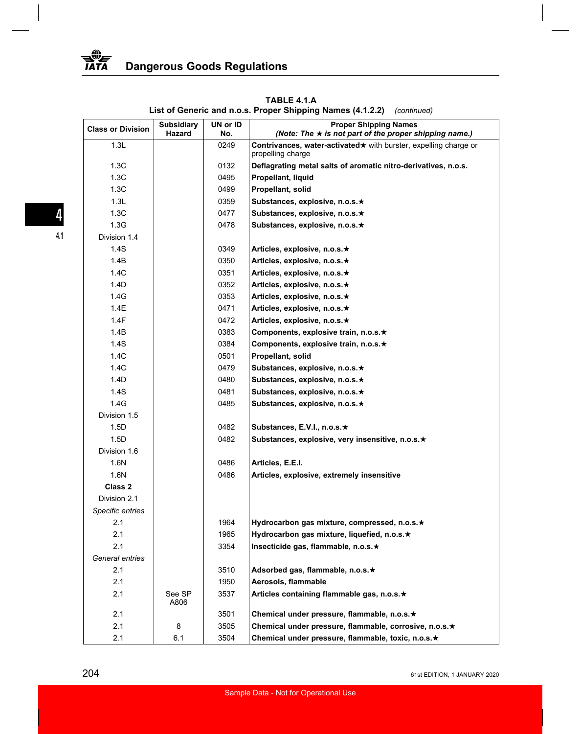

**TABLE 4.1.A List of Generic and n.o.s. Proper Shipping Names (4.1.2.2)** *(continued)*

|     | <b>Class or Division</b> | <b>Subsidiary</b><br>Hazard | UN or ID<br>No. | <b>Proper Shipping Names</b><br>(Note: The $\star$ is not part of the proper shipping name.) |  |  |  |  |  |  |
|-----|--------------------------|-----------------------------|-----------------|----------------------------------------------------------------------------------------------|--|--|--|--|--|--|
|     | 1.3L                     |                             | 0249            | Contrivances, water-activated * with burster, expelling charge or<br>propelling charge       |  |  |  |  |  |  |
|     | 1.3C                     |                             | 0132            | Deflagrating metal salts of aromatic nitro-derivatives, n.o.s.                               |  |  |  |  |  |  |
|     | 1.3C                     |                             | 0495            | Propellant, liquid                                                                           |  |  |  |  |  |  |
|     | 1.3C                     |                             | 0499            | Propellant, solid                                                                            |  |  |  |  |  |  |
|     | 1.3L                     |                             | 0359            | Substances, explosive, n.o.s. ★                                                              |  |  |  |  |  |  |
| 4   | 1.3C                     |                             | 0477            | Substances, explosive, n.o.s. ★                                                              |  |  |  |  |  |  |
|     | 1.3G                     |                             | 0478            | Substances, explosive, n.o.s. ★                                                              |  |  |  |  |  |  |
| 4.1 | Division 1.4             |                             |                 |                                                                                              |  |  |  |  |  |  |
|     | 1.4S                     |                             | 0349            | Articles, explosive, n.o.s.★                                                                 |  |  |  |  |  |  |
|     | 1.4B                     |                             | 0350            | Articles, explosive, n.o.s.★                                                                 |  |  |  |  |  |  |
|     | 1.4C                     |                             | 0351            | Articles, explosive, n.o.s.★                                                                 |  |  |  |  |  |  |
|     | 1.4D                     |                             | 0352            | Articles, explosive, n.o.s.★                                                                 |  |  |  |  |  |  |
|     | 1.4G                     |                             | 0353            | Articles, explosive, n.o.s.★                                                                 |  |  |  |  |  |  |
|     | 1.4E                     |                             | 0471            | Articles, explosive, n.o.s.★                                                                 |  |  |  |  |  |  |
|     | 1.4F                     |                             | 0472            | Articles, explosive, n.o.s.★                                                                 |  |  |  |  |  |  |
|     | 1.4B                     |                             | 0383            | Components, explosive train, n.o.s.★                                                         |  |  |  |  |  |  |
|     | 1.4S                     |                             | 0384            | Components, explosive train, n.o.s. ★                                                        |  |  |  |  |  |  |
|     | 1.4C                     |                             | 0501            | Propellant, solid                                                                            |  |  |  |  |  |  |
|     | 1.4C                     |                             | 0479            | Substances, explosive, n.o.s. ★                                                              |  |  |  |  |  |  |
|     | 1.4D                     |                             | 0480            | Substances, explosive, n.o.s. ★                                                              |  |  |  |  |  |  |
|     | 1.4S                     |                             | 0481            | Substances, explosive, n.o.s. *                                                              |  |  |  |  |  |  |
|     | 1.4G                     |                             | 0485            | Substances, explosive, n.o.s. ★                                                              |  |  |  |  |  |  |
|     | Division 1.5             |                             |                 |                                                                                              |  |  |  |  |  |  |
|     | 1.5D                     |                             | 0482            | Substances, E.V.I., n.o.s. ★                                                                 |  |  |  |  |  |  |
|     | 1.5D                     |                             | 0482            | Substances, explosive, very insensitive, n.o.s.★                                             |  |  |  |  |  |  |
|     | Division 1.6             |                             |                 |                                                                                              |  |  |  |  |  |  |
|     | 1.6N                     |                             | 0486            | Articles, E.E.I.                                                                             |  |  |  |  |  |  |
|     | 1.6N                     |                             | 0486            | Articles, explosive, extremely insensitive                                                   |  |  |  |  |  |  |
|     | Class 2                  |                             |                 |                                                                                              |  |  |  |  |  |  |
|     | Division 2.1             |                             |                 |                                                                                              |  |  |  |  |  |  |
|     | Specific entries         |                             |                 |                                                                                              |  |  |  |  |  |  |
|     | 2.1                      |                             | 1964            | Hydrocarbon gas mixture, compressed, n.o.s.★                                                 |  |  |  |  |  |  |
|     | 2.1                      |                             | 1965            | Hydrocarbon gas mixture, liquefied, n.o.s. ★                                                 |  |  |  |  |  |  |
|     | 2.1                      |                             | 3354            | Insecticide gas, flammable, n.o.s. ★                                                         |  |  |  |  |  |  |
|     | General entries          |                             |                 |                                                                                              |  |  |  |  |  |  |
|     | 2.1                      |                             | 3510            | Adsorbed gas, flammable, n.o.s. ★                                                            |  |  |  |  |  |  |
|     | 2.1                      |                             | 1950            | Aerosols, flammable                                                                          |  |  |  |  |  |  |
|     | 2.1                      | See SP<br>A806              | 3537            | Articles containing flammable gas, n.o.s. ★                                                  |  |  |  |  |  |  |
|     | 2.1                      |                             | 3501            | Chemical under pressure, flammable, n.o.s.★                                                  |  |  |  |  |  |  |
|     | 2.1                      | 8                           | 3505            | Chemical under pressure, flammable, corrosive, n.o.s. ★                                      |  |  |  |  |  |  |
|     | 2.1                      | 6.1                         | 3504            | Chemical under pressure, flammable, toxic, n.o.s. *                                          |  |  |  |  |  |  |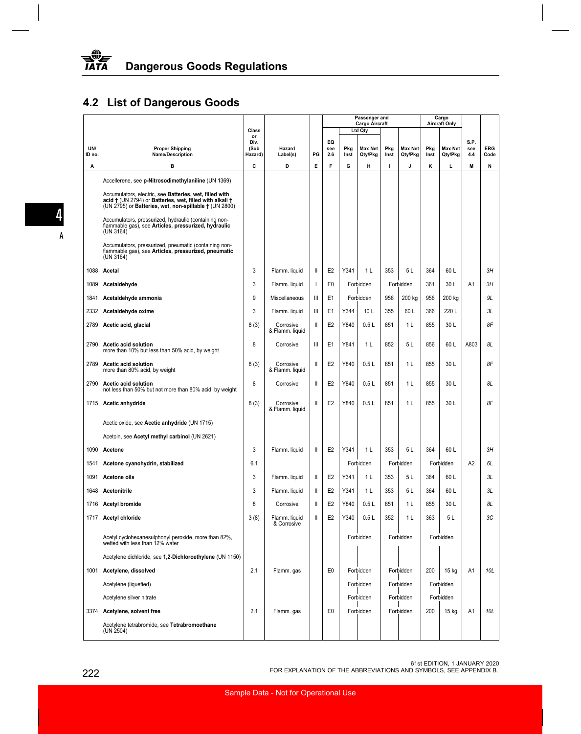## **4.2 List of Dangerous Goods**

|   |               |                                                                                                                                                                               |                         |                              |                          |                  |             | Passenger and<br><b>Cargo Aircraft</b> |              |                           |             | Cargo<br><b>Aircraft Only</b> |                    |                    |
|---|---------------|-------------------------------------------------------------------------------------------------------------------------------------------------------------------------------|-------------------------|------------------------------|--------------------------|------------------|-------------|----------------------------------------|--------------|---------------------------|-------------|-------------------------------|--------------------|--------------------|
|   |               |                                                                                                                                                                               | Class<br>or             |                              |                          |                  | Ltd Qty     |                                        |              |                           |             |                               |                    |                    |
|   | UN/<br>ID no. | <b>Proper Shipping</b><br>Name/Description                                                                                                                                    | Div.<br>(Sub<br>Hazard) | Hazard<br>Label(s)           | PG                       | EQ<br>see<br>2.6 | Pkg<br>Inst | <b>Max Net</b><br>Qty/Pkg              | Pkg<br>Inst  | <b>Max Net</b><br>Qty/Pkg | Pkg<br>Inst | <b>Max Net</b><br>Qty/Pkg     | S.P.<br>see<br>4.4 | <b>ERG</b><br>Code |
|   | А             | в                                                                                                                                                                             | c                       | D                            | Е                        | F                | G           | н                                      | $\mathbf{L}$ | J                         | κ           | L                             | M                  | N                  |
|   |               | Accellerene, see p-Nitrosodimethylaniline (UN 1369)                                                                                                                           |                         |                              |                          |                  |             |                                        |              |                           |             |                               |                    |                    |
|   |               | Accumulators, electric, see Batteries, wet, filled with<br>acid † (UN 2794) or Batteries, wet, filled with alkali †<br>(UN 2795) or Batteries, wet, non-spillable † (UN 2800) |                         |                              |                          |                  |             |                                        |              |                           |             |                               |                    |                    |
| A |               | Accumulators, pressurized, hydraulic (containing non-<br>flammable gas), see Articles, pressurized, hydraulic<br>(UN 3164)                                                    |                         |                              |                          |                  |             |                                        |              |                           |             |                               |                    |                    |
|   |               | Accumulators, pressurized, pneumatic (containing non-<br>flammable gas), see Articles, pressurized, pneumatic<br>(UN 3164)                                                    |                         |                              |                          |                  |             |                                        |              |                           |             |                               |                    |                    |
|   | 1088          | Acetal                                                                                                                                                                        | 3                       | Flamm. liquid                | Ш                        | E <sub>2</sub>   | Y341        | 1 <sub>L</sub>                         | 353          | 5 L                       | 364         | 60L                           |                    | ЗН                 |
|   | 1089          | Acetaldehyde                                                                                                                                                                  | 3                       | Flamm. liquid                | $\overline{\phantom{a}}$ | E0               |             | Forbidden                              |              | Forbidden                 | 361         | 30L                           | A <sub>1</sub>     | ЗН                 |
|   | 1841          | Acetaldehyde ammonia                                                                                                                                                          | 9                       | Miscellaneous                | Ш                        | E <sub>1</sub>   |             | Forbidden                              | 956          | 200 kg                    | 956         | 200 kg                        |                    | 9L                 |
|   | 2332          | Acetaldehyde oxime                                                                                                                                                            | 3                       | Flamm. liquid                | Ш                        | E <sub>1</sub>   | Y344        | 10L                                    | 355          | 60 L                      | 366         | 220L                          |                    | ЗL                 |
|   | 2789          | Acetic acid, glacial                                                                                                                                                          | 8(3)                    | Corrosive<br>& Flamm. liquid | $\mathbf{H}$             | E <sub>2</sub>   | Y840        | 0.5L                                   | 851          | 1 <sub>L</sub>            | 855         | 30 L                          |                    | 8F                 |
|   | 2790          | Acetic acid solution<br>more than 10% but less than 50% acid, by weight                                                                                                       | 8                       | Corrosive                    | Ш                        | E <sub>1</sub>   | Y841        | 1 L                                    | 852          | 5 L                       | 856         | 60 L                          | A803               | 8L                 |
|   | 2789          | Acetic acid solution<br>more than 80% acid, by weight                                                                                                                         | 8(3)                    | Corrosive<br>& Flamm. liquid | Ш                        | E <sub>2</sub>   | Y840        | 0.5L                                   | 851          | 1 L                       | 855         | 30 L                          |                    | 8F                 |
|   | 2790          | Acetic acid solution<br>not less than 50% but not more than 80% acid, by weight                                                                                               | 8                       | Corrosive                    | Ш                        | E <sub>2</sub>   | Y840        | 0.5L                                   | 851          | 1 <sub>L</sub>            | 855         | 30 L                          |                    | 8L                 |
|   | 1715          | Acetic anhydride                                                                                                                                                              | 8(3)                    | Corrosive<br>& Flamm. liquid | $\mathbf{I}$             | E <sub>2</sub>   | Y840        | 0.5L                                   | 851          | 1 <sub>L</sub>            | 855         | 30L                           |                    | 8F                 |
|   |               | Acetic oxide, see Acetic anhydride (UN 1715)                                                                                                                                  |                         |                              |                          |                  |             |                                        |              |                           |             |                               |                    |                    |
|   |               | Acetoin, see Acetyl methyl carbinol (UN 2621)                                                                                                                                 |                         |                              |                          |                  |             |                                        |              |                           |             |                               |                    |                    |
|   | 1090          | Acetone                                                                                                                                                                       | 3                       | Flamm. liquid                | Ш                        | E <sub>2</sub>   | Y341        | 1 <sub>L</sub>                         | 353          | 5 L                       | 364         | 60 L                          |                    | ЗН                 |
|   | 1541          | Acetone cyanohydrin, stabilized                                                                                                                                               | 6.1                     |                              |                          |                  |             | Forbidden                              |              | Forbidden                 |             | Forbidden                     | A <sub>2</sub>     | 6L                 |
|   | 1091          | Acetone oils                                                                                                                                                                  | 3                       | Flamm. liquid                | Ш                        | E <sub>2</sub>   | Y341        | 1 L                                    | 353          | 5 L                       | 364         | 60 L                          |                    | ЗL                 |
|   |               | 1648 Acetonitrile                                                                                                                                                             | 3                       | Flamm. liquid                | Ш                        | E <sub>2</sub>   | Y341        | 1 L                                    | 353          | 5 L                       | 364         | 60 L                          |                    | ЗL                 |
|   |               | 1716 Acetyl bromide                                                                                                                                                           | 8                       | Corrosive                    | H.                       | E <sub>2</sub>   | Y840        | 0.5L                                   | 851          | 1 <sub>L</sub>            | 855         | 30L                           |                    | 8L                 |
|   | 1717          | <b>Acetyl chloride</b>                                                                                                                                                        | 3(8)                    | Flamm. liquid<br>& Corrosive | Ш                        | E <sub>2</sub>   | Y340        | 0.5L                                   | 352          | 1 <sub>L</sub>            | 363         | 5L                            |                    | ЗC                 |
|   |               | Acetyl cyclohexanesulphonyl peroxide, more than 82%, wetted with less than 12% water                                                                                          |                         |                              |                          |                  |             | Forbidden                              |              | Forbidden                 |             | Forbidden                     |                    |                    |
|   |               | Acetylene dichloride, see 1,2-Dichloroethylene (UN 1150)                                                                                                                      |                         |                              |                          |                  |             |                                        |              |                           |             |                               |                    |                    |
|   | 1001          | Acetylene, dissolved                                                                                                                                                          | 2.1                     | Flamm. gas                   |                          | E <sub>0</sub>   |             | Forbidden                              |              | Forbidden                 | 200         | 15 kg                         | A <sub>1</sub>     | 10L                |
|   |               | Acetylene (liquefied)                                                                                                                                                         |                         |                              |                          |                  |             | Forbidden                              |              | Forbidden                 |             | Forbidden                     |                    |                    |
|   |               | Acetylene silver nitrate                                                                                                                                                      |                         |                              |                          |                  |             | Forbidden                              |              | Forbidden                 |             | Forbidden                     |                    |                    |
|   |               | 3374 Acetylene, solvent free                                                                                                                                                  | 2.1                     | Flamm. gas                   |                          | E <sub>0</sub>   |             | Forbidden                              |              | Forbidden                 | 200         | 15 kg                         | A1                 | 10L                |
|   |               | Acetylene tetrabromide, see Tetrabromoethane<br>(UN 2504)                                                                                                                     |                         |                              |                          |                  |             |                                        |              |                           |             |                               |                    |                    |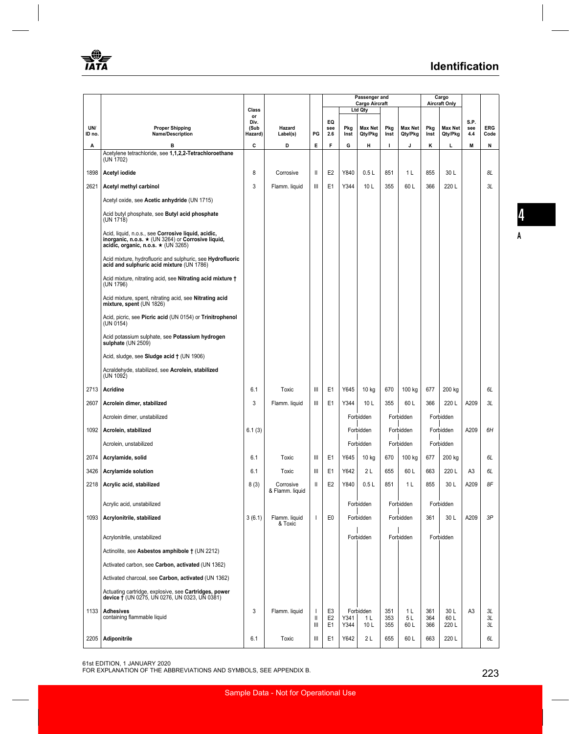|               |                                                                                                                                                              |                         |                              |        |                                        |                | Passenger and<br><b>Cargo Aircraft</b> |                   |                               |                   | Cargo<br><b>Aircraft Only</b> |                    |                    |  |
|---------------|--------------------------------------------------------------------------------------------------------------------------------------------------------------|-------------------------|------------------------------|--------|----------------------------------------|----------------|----------------------------------------|-------------------|-------------------------------|-------------------|-------------------------------|--------------------|--------------------|--|
|               |                                                                                                                                                              | Class<br>or             |                              |        |                                        | <b>Ltd Oty</b> |                                        |                   |                               |                   |                               |                    |                    |  |
| UN/<br>ID no. | <b>Proper Shipping</b><br>Name/Description                                                                                                                   | Div.<br>(Sub<br>Hazard) | Hazard<br>Label(s)           | PG     | EQ<br>see<br>2.6                       | Pkg<br>Inst    | <b>Max Net</b><br>Qty/Pkg              | Pkg<br>Inst       | <b>Max Net</b><br>Qty/Pkg     | Pkg<br>Inst       | <b>Max Net</b><br>Qty/Pkg     | S.P.<br>see<br>4.4 | <b>ERG</b><br>Code |  |
| А             | В                                                                                                                                                            | С                       | D                            | Е      | F                                      | G              | н                                      | п                 | J                             | κ                 | L                             | M                  | N                  |  |
|               | Acetylene tetrachloride, see 1,1,2,2-Tetrachloroethane<br>(UN 1702)                                                                                          |                         |                              |        |                                        |                |                                        |                   |                               |                   |                               |                    |                    |  |
| 1898          | <b>Acetyl iodide</b>                                                                                                                                         | 8                       | Corrosive                    | Ш      | E <sub>2</sub>                         | Y840           | 0.5L                                   | 851               | 1 <sub>L</sub>                | 855               | 30 L                          |                    | 8L                 |  |
| 2621          | Acetyl methyl carbinol                                                                                                                                       | 3                       | Flamm. liquid                | Ш      | E1                                     | Y344           | 10L                                    | 355               | 60 L                          | 366               | 220 L                         |                    | ЗL                 |  |
|               | Acetyl oxide, see Acetic anhydride (UN 1715)                                                                                                                 |                         |                              |        |                                        |                |                                        |                   |                               |                   |                               |                    |                    |  |
|               | Acid butyl phosphate, see Butyl acid phosphate<br>(UN 1718)                                                                                                  |                         |                              |        |                                        |                |                                        |                   |                               |                   |                               |                    |                    |  |
|               | Acid, liquid, n.o.s., see Corrosive liquid, acidic,<br>inorganic, n.o.s. $\star$ (UN 3264) or Corrosive liquid,<br>acidic, organic, n.o.s. $\star$ (UN 3265) |                         |                              |        |                                        |                |                                        |                   |                               |                   |                               |                    |                    |  |
|               | Acid mixture, hydrofluoric and sulphuric, see Hydrofluoric<br>acid and sulphuric acid mixture (UN 1786)                                                      |                         |                              |        |                                        |                |                                        |                   |                               |                   |                               |                    |                    |  |
|               | Acid mixture, nitrating acid, see Nitrating acid mixture †<br>(UN 1796)                                                                                      |                         |                              |        |                                        |                |                                        |                   |                               |                   |                               |                    |                    |  |
|               | Acid mixture, spent, nitrating acid, see Nitrating acid<br>mixture, spent (UN 1826)                                                                          |                         |                              |        |                                        |                |                                        |                   |                               |                   |                               |                    |                    |  |
|               | Acid, picric, see Picric acid (UN 0154) or Trinitrophenol<br>(UN 0154)                                                                                       |                         |                              |        |                                        |                |                                        |                   |                               |                   |                               |                    |                    |  |
|               | Acid potassium sulphate, see Potassium hydrogen<br>sulphate (UN 2509)                                                                                        |                         |                              |        |                                        |                |                                        |                   |                               |                   |                               |                    |                    |  |
|               | Acid, sludge, see Sludge acid † (UN 1906)                                                                                                                    |                         |                              |        |                                        |                |                                        |                   |                               |                   |                               |                    |                    |  |
|               | Acraldehyde, stabilized, see Acrolein, stabilized<br>(UN 1092)                                                                                               |                         |                              |        |                                        |                |                                        |                   |                               |                   |                               |                    |                    |  |
|               | 2713 Acridine                                                                                                                                                | 6.1                     | Toxic                        | Ш      | E <sub>1</sub>                         | Y645           | 10 kg                                  | 670               | 100 kg                        | 677               | 200 kg                        |                    | 6L                 |  |
| 2607          | Acrolein dimer, stabilized                                                                                                                                   | 3                       | Flamm. liquid                | Ш      | E1                                     | Y344           | 10 <sub>L</sub>                        | 355               | 60 L                          | 366               | 220 L                         | A209               | ЗL                 |  |
|               | Acrolein dimer, unstabilized                                                                                                                                 |                         |                              |        |                                        |                | Forbidden                              |                   | Forbidden                     |                   | Forbidden                     |                    |                    |  |
|               | 1092 Acrolein, stabilized                                                                                                                                    | 6.1(3)                  |                              |        |                                        |                | Forbidden                              |                   | Forbidden                     |                   | Forbidden                     | A209               | 6H                 |  |
|               | Acrolein, unstabilized                                                                                                                                       |                         |                              |        |                                        |                | Forbidden                              |                   | Forbidden                     |                   | Forbidden                     |                    |                    |  |
| 2074          | Acrylamide, solid                                                                                                                                            | 6.1                     | Toxic                        | Ш      | E1                                     | Y645           | 10 kg                                  | 670               | 100 kg                        | 677               | 200 kg                        |                    | 6L                 |  |
|               | 3426 Acrylamide solution                                                                                                                                     | 6.1                     | Toxic                        | Ш      | E <sub>1</sub>                         | Y642           | 2L                                     | 655               | 60 L                          | 663               | 220L                          | A <sub>3</sub>     | 6L                 |  |
|               | 2218 Acrylic acid, stabilized                                                                                                                                | 8(3)                    | Corrosive<br>& Flamm. liquid | Ш      | E <sub>2</sub>                         | Y840           | 0.5L                                   | 851               | 1 L                           | 855               | 30L                           | A209               | 8F                 |  |
|               | Acrylic acid, unstabilized                                                                                                                                   |                         |                              |        |                                        |                | Forbidden                              |                   | Forbidden                     |                   | Forbidden                     |                    |                    |  |
|               | 1093 Acrylonitrile, stabilized                                                                                                                               | 3(6.1)                  | Flamm. liquid<br>& Toxic     |        | E0                                     |                | Forbidden                              |                   | Forbidden                     | 361               | 30 L                          | A209               | 3P                 |  |
|               | Acrylonitrile, unstabilized                                                                                                                                  |                         |                              |        |                                        |                | Forbidden                              |                   | Forbidden                     |                   | Forbidden                     |                    |                    |  |
|               | Actinolite, see Asbestos amphibole † (UN 2212)                                                                                                               |                         |                              |        |                                        |                |                                        |                   |                               |                   |                               |                    |                    |  |
|               | Activated carbon, see Carbon, activated (UN 1362)                                                                                                            |                         |                              |        |                                        |                |                                        |                   |                               |                   |                               |                    |                    |  |
|               | Activated charcoal, see Carbon, activated (UN 1362)                                                                                                          |                         |                              |        |                                        |                |                                        |                   |                               |                   |                               |                    |                    |  |
|               | Actuating cartridge, explosive, see Cartridges, power<br>device † (UN 0275, UN 0276, UN 0323, UN 0381)                                                       |                         |                              |        |                                        |                |                                        |                   |                               |                   |                               |                    |                    |  |
| 1133          | <b>Adhesives</b><br>containing flammable liquid                                                                                                              | 3                       | Flamm. liquid                | Ш<br>Ш | E <sub>3</sub><br>E <sub>2</sub><br>E1 | Y341<br>Y344   | Forbidden<br>1 L<br>10 <sub>L</sub>    | 351<br>353<br>355 | 1 <sub>L</sub><br>5 L<br>60 L | 361<br>364<br>366 | 30L<br>60 L<br>220 L          | A <sub>3</sub>     | ЗL<br>3L<br>ЗL     |  |
|               | 2205 Adiponitrile                                                                                                                                            | 6.1                     | Toxic                        | Ш      | E1                                     | Y642           | 2L                                     | 655               | 60L                           | 663               | 220 L                         |                    | 6L                 |  |

61st EDITION, 1 JANUARY 2020

FOR EXPLANATION OF THE ABBREVIATIONS AND SYMBOLS, SEE APPENDIX B.  $223$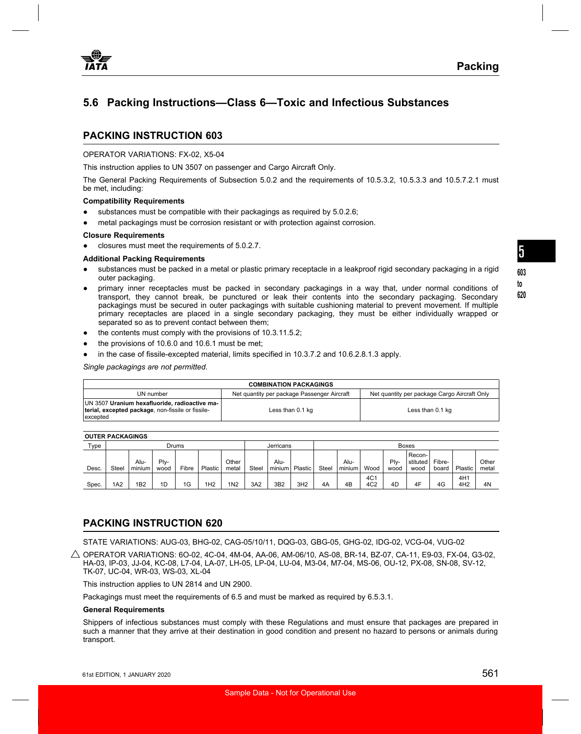## **5.6 Packing Instructions—Class 6—Toxic and Infectious Substances**

## **PACKING INSTRUCTION 603**

## OPERATOR VARIATIONS: FX-02, X5-04

This instruction applies to UN 3507 on passenger and Cargo Aircraft Only.

The General Packing Requirements of Subsection 5.0.2 and the requirements of 10.5.3.2, 10.5.3.3 and 10.5.7.2.1 must be met, including:

### **Compatibility Requirements**

- substances must be compatible with their packagings as required by 5.0.2.6;
- metal packagings must be corrosion resistant or with protection against corrosion.

## **Closure Requirements**

● closures must meet the requirements of 5.0.2.7. 5 **Additional Packing Requirements**

- substances must be packed in a metal or plastic primary receptacle in a leakproof rigid secondary packaging in a rigid outer packaging.
- **to** primary inner receptacles must be packed in secondary packagings in a way that, under normal conditions of  $\frac{10}{100}$ <br>transport, they cannot break, be punctured or leak their contents into the secondary packaging. S transport, they cannot break, be punctured or leak their contents into the secondary packaging. Secondary packagings must be secured in outer packagings with suitable cushioning material to prevent movement. If multiple primary receptacles are placed in a single secondary packaging, they must be either individually wrapped or separated so as to prevent contact between them;
- the contents must comply with the provisions of 10.3.11.5.2;
- the provisions of 10.6.0 and 10.6.1 must be met;
- in the case of fissile-excepted material, limits specified in 10.3.7.2 and 10.6.2.8.1.3 apply.

### *Single packagings are not permitted.*

|                                                                                                                | <b>COMBINATION PACKAGINGS</b>               |                                              |
|----------------------------------------------------------------------------------------------------------------|---------------------------------------------|----------------------------------------------|
| UN number                                                                                                      | Net quantity per package Passenger Aircraft | Net quantity per package Cargo Aircraft Only |
| UN 3507 Uranium hexafluoride, radioactive ma-<br>terial, excepted package, non-fissile or fissile-<br>excepted | Less than 0.1 kg                            | Less than 0.1 kg                             |

| туре  | Drums |                 |              |       |                 | Jerricans       |       |                        | Boxes           |       |                |                        |              |                            |                 |            |                |
|-------|-------|-----------------|--------------|-------|-----------------|-----------------|-------|------------------------|-----------------|-------|----------------|------------------------|--------------|----------------------------|-----------------|------------|----------------|
| Desc. | Steel | Alu-<br>minium  | Plv-<br>wood | Fibre | Plastic         | Other<br>metal  | Steel | Alu-<br>minium Plastic |                 | Steel | Alu-<br>minium | Wood                   | Plv-<br>wood | Recon-<br>stituted<br>wood | Fibre-<br>board | Plastic    | Other<br>metal |
| Spec. | 1A2   | 1B <sub>2</sub> | 1D           | 1G    | 1H <sub>2</sub> | 1N <sub>2</sub> | 3A2   | 3B <sub>2</sub>        | 3H <sub>2</sub> | 4A    | 4B             | 4C1<br>4C <sub>2</sub> | 4D           | 4F                         | 4G              | 4H1<br>4H2 | 4N             |

## **PACKING INSTRUCTION 620**

STATE VARIATIONS: AUG-03, BHG-02, CAG-05/10/11, DQG-03, GBG-05, GHG-02, IDG-02, VCG-04, VUG-02

 $\triangle$  OPERATOR VARIATIONS: 6O-02, 4C-04, 4M-04, AA-06, AM-06/10, AS-08, BR-14, BZ-07, CA-11, E9-03, FX-04, G3-02, HA-03, IP-03, JJ-04, KC-08, L7-04, LA-07, LH-05, LP-04, LU-04, M3-04, M7-04, MS-06, OU-12, PX-08, SN-08, SV-12, TK-07, UC-04, WR-03, WS-03, XL-04

This instruction applies to UN 2814 and UN 2900.

Packagings must meet the requirements of 6.5 and must be marked as required by 6.5.3.1.

### **General Requirements**

Shippers of infectious substances must comply with these Regulations and must ensure that packages are prepared in such a manner that they arrive at their destination in good condition and present no hazard to persons or animals during transport.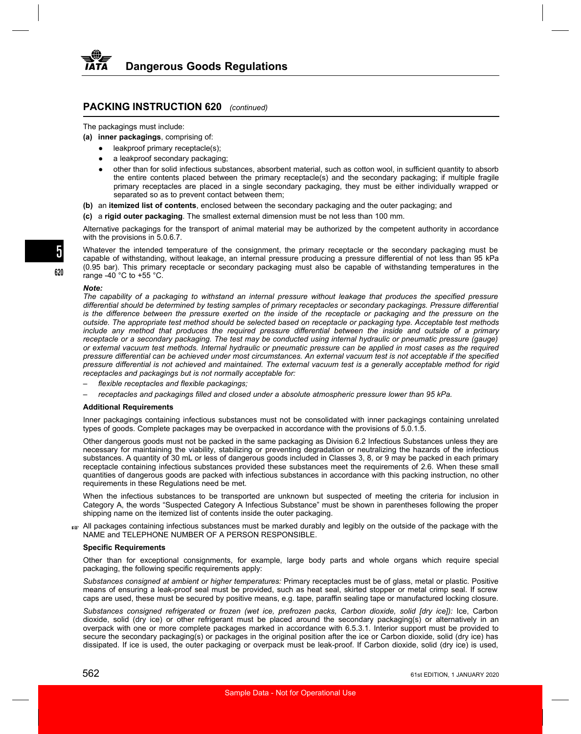## **PACKING INSTRUCTION 620** *(continued)*

The packagings must include:

- **(a) inner packagings**, comprising of:
	- leakproof primary receptacle(s);
	- a leakproof secondary packaging;
	- other than for solid infectious substances, absorbent material, such as cotton wool, in sufficient quantity to absorb the entire contents placed between the primary receptacle(s) and the secondary packaging; if multiple fragile primary receptacles are placed in a single secondary packaging, they must be either individually wrapped or separated so as to prevent contact between them;
- **(b)** an **itemized list of contents**, enclosed between the secondary packaging and the outer packaging; and
- **(c)** a **rigid outer packaging**. The smallest external dimension must be not less than 100 mm.

Alternative packagings for the transport of animal material may be authorized by the competent authority in accordance with the provisions in 5.0.6.7.

Whatever the intended temperature of the consignment, the primary receptacle or the secondary packaging must be<br>capable of withstanding, without leakage, an internal pressure producing a pressure differential of not less t (0.95 bar). This primary receptacle or secondary packaging must also be capable of withstanding temperatures in the **<sup>620</sup>** range -40 °C to +55 °C.

### *Note:*

*The capability of a packaging to withstand an internal pressure without leakage that produces the specified pressure differential should be determined by testing samples of primary receptacles or secondary packagings. Pressure differential is the difference between the pressure exerted on the inside of the receptacle or packaging and the pressure on the outside. The appropriate test method should be selected based on receptacle or packaging type. Acceptable test methods include any method that produces the required pressure differential between the inside and outside of a primary receptacle or a secondary packaging. The test may be conducted using internal hydraulic or pneumatic pressure (gauge) or external vacuum test methods. Internal hydraulic or pneumatic pressure can be applied in most cases as the required pressure differential can be achieved under most circumstances. An external vacuum test is not acceptable if the specified pressure differential is not achieved and maintained. The external vacuum test is a generally acceptable method for rigid receptacles and packagings but is not normally acceptable for:*

- *flexible receptacles and flexible packagings;*
- *receptacles and packagings filled and closed under a absolute atmospheric pressure lower than 95 kPa.*

### **Additional Requirements**

Inner packagings containing infectious substances must not be consolidated with inner packagings containing unrelated types of goods. Complete packages may be overpacked in accordance with the provisions of 5.0.1.5.

Other dangerous goods must not be packed in the same packaging as Division 6.2 Infectious Substances unless they are necessary for maintaining the viability, stabilizing or preventing degradation or neutralizing the hazards of the infectious substances. A quantity of 30 mL or less of dangerous goods included in Classes 3, 8, or 9 may be packed in each primary receptacle containing infectious substances provided these substances meet the requirements of 2.6. When these small quantities of dangerous goods are packed with infectious substances in accordance with this packing instruction, no other requirements in these Regulations need be met.

When the infectious substances to be transported are unknown but suspected of meeting the criteria for inclusion in Category A, the words "Suspected Category A Infectious Substance" must be shown in parentheses following the proper shipping name on the itemized list of contents inside the outer packaging.

<sub>18</sub> All packages containing infectious substances must be marked durably and legibly on the outside of the package with the NAME and TELEPHONE NUMBER OF A PERSON RESPONSIBLE.

### **Specific Requirements**

Other than for exceptional consignments, for example, large body parts and whole organs which require special packaging, the following specific requirements apply:

*Substances consigned at ambient or higher temperatures:* Primary receptacles must be of glass, metal or plastic. Positive means of ensuring a leak-proof seal must be provided, such as heat seal, skirted stopper or metal crimp seal. If screw caps are used, these must be secured by positive means, e.g. tape, paraffin sealing tape or manufactured locking closure.

*Substances consigned refrigerated or frozen (wet ice, prefrozen packs, Carbon dioxide, solid [dry ice]):* Ice, Carbon dioxide, solid (dry ice) or other refrigerant must be placed around the secondary packaging(s) or alternatively in an overpack with one or more complete packages marked in accordance with 6.5.3.1. Interior support must be provided to secure the secondary packaging(s) or packages in the original position after the ice or Carbon dioxide, solid (dry ice) has dissipated. If ice is used, the outer packaging or overpack must be leak-proof. If Carbon dioxide, solid (dry ice) is used,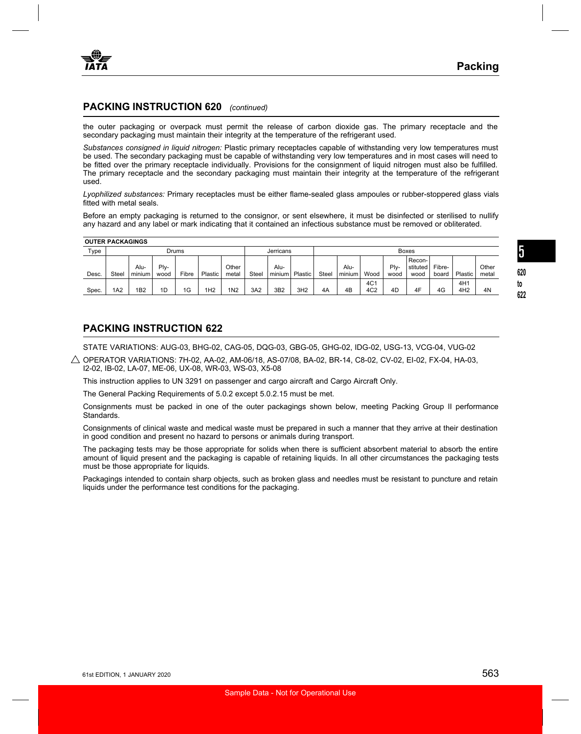## **PACKING INSTRUCTION 620** *(continued)*

the outer packaging or overpack must permit the release of carbon dioxide gas. The primary receptacle and the secondary packaging must maintain their integrity at the temperature of the refrigerant used.

*Substances consigned in liquid nitrogen:* Plastic primary receptacles capable of withstanding very low temperatures must be used. The secondary packaging must be capable of withstanding very low temperatures and in most cases will need to be fitted over the primary receptacle individually. Provisions for the consignment of liquid nitrogen must also be fulfilled. The primary receptacle and the secondary packaging must maintain their integrity at the temperature of the refrigerant used.

*Lyophilized substances:* Primary receptacles must be either flame-sealed glass ampoules or rubber-stoppered glass vials fitted with metal seals.

Before an empty packaging is returned to the consignor, or sent elsewhere, it must be disinfected or sterilised to nullify any hazard and any label or mark indicating that it contained an infectious substance must be removed or obliterated.

| <b>OUTER PACKAGINGS</b> |       |                 |      |       |                 |       |       |                 |                 |       |        |                 |      |              |        |                 |       |            |
|-------------------------|-------|-----------------|------|-------|-----------------|-------|-------|-----------------|-----------------|-------|--------|-----------------|------|--------------|--------|-----------------|-------|------------|
| Type                    |       |                 |      | Drums |                 |       |       | Jerricans       |                 |       |        |                 |      | <b>Boxes</b> |        |                 |       |            |
|                         |       |                 |      |       |                 |       |       |                 |                 |       |        |                 |      | Recon-       |        |                 |       |            |
|                         |       | Alu-            | Plv- |       |                 | Other |       | Alu-            |                 |       | Alu-   |                 | Plv- | stituted     | Fibre- |                 | Other | 620        |
| Desc.                   | Steel | minium          | wood | Fibre | Plastic         | metal | Steel | minium          | Plastic         | Steel | minium | Wood            | wood | wood         | board  | Plastic         | metal |            |
|                         |       |                 |      |       |                 |       |       |                 |                 |       |        | 4C1             |      |              |        | 4H1             |       | to         |
| Spec.                   | 1A2   | 1B <sub>2</sub> | 1D   | 1G    | IH <sub>2</sub> | 1N2   | 3A2   | 3B <sub>2</sub> | 3H <sub>2</sub> | 4A    | 4B     | 4C <sub>2</sub> | 4D   | 4F           | 4G     | 4H <sub>2</sub> | 4N    | <b>COO</b> |

## **PACKING INSTRUCTION 622**

STATE VARIATIONS: AUG-03, BHG-02, CAG-05, DQG-03, GBG-05, GHG-02, IDG-02, USG-13, VCG-04, VUG-02

 $\triangle$  Operator variations: 7H-02, AA-02, AM-06/18, AS-07/08, BA-02, BR-14, C8-02, CV-02, EI-02, FX-04, HA-03, I2-02, IB-02, LA-07, ME-06, UX-08, WR-03, WS-03, X5-08

This instruction applies to UN 3291 on passenger and cargo aircraft and Cargo Aircraft Only.

The General Packing Requirements of 5.0.2 except 5.0.2.15 must be met.

Consignments must be packed in one of the outer packagings shown below, meeting Packing Group II performance Standards.

Consignments of clinical waste and medical waste must be prepared in such a manner that they arrive at their destination in good condition and present no hazard to persons or animals during transport.

The packaging tests may be those appropriate for solids when there is sufficient absorbent material to absorb the entire amount of liquid present and the packaging is capable of retaining liquids. In all other circumstances the packaging tests must be those appropriate for liquids.

Packagings intended to contain sharp objects, such as broken glass and needles must be resistant to puncture and retain liquids under the performance test conditions for the packaging.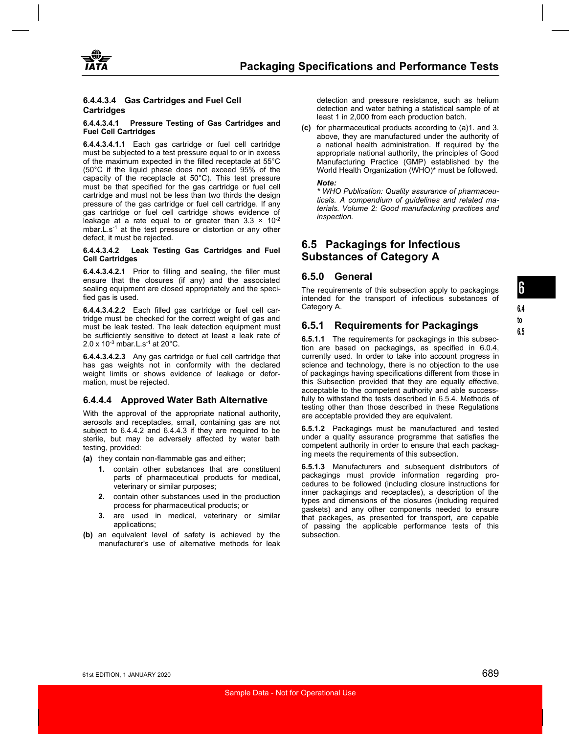

## **6.4.4.3.4.1 Pressure Testing of Gas Cartridges and (c)** for pharmaceutical products according to (a)1. and 3.<br>**Fuel Cell Cartridges above, they are manufactured under the authority of** above, they are manufactured und

**6.4.4.3.4.1.1** Each gas cartridge or fuel cell cartridge a national health administration. If required by the must be subjected to a test pressure equal to or in excess appropriate national authority, the principles of Good<br>of the maximum expected in the filled receptacle at 55°C Manufacturing Practice (GMP) established by the of the maximum expected in the filled receptacle at 55°C Manufacturing Practice (GMP) established by the (50°C if the liquid phase does not exceed 95% of the World Health Organization (WHO)\* must be followed. (50°C if the liquid phase does not exceed 95% of the capacity of the receptacle at 50°C). This test pressure capacity of the receptacle at 50°C). This test pressure<br>
must be that specified for the gas cartridge or fuel cell<br>
cartridge and must not be less than two thirds the design<br>
pressure of the gas cartridge or fuel cell car mbar.L.s<sup>-1</sup> at the test pressure or distortion or any other defect, it must be rejected.

**6.4.4.3.4.2.1** Prior to filling and sealing, the filler must **6.5.0 General** ensure that the closures (if any) and the associated **6.5.0 General** sealing equipment are closed appropriately and the speci-<br>
The requirements of this subsection apply to packagings<br>
fied gas is used.

tridge must be checked for the correct weight of gas and<br>must be leak tested. The leak detection equipment must **6.5.1 Requirements for Packagings** the leak lessed. The leak detection equipment must<br>be sufficiently sensitive to detect at least a leak rate of<br> $2.0 \times 10^{-3}$  mbar.L.s<sup>-1</sup> at 20°C.<br> $2.0 \times 10^{-3}$  mbar.L.s<sup>-1</sup> at 20°C.

**6.4.4.3.4.2.3** Any gas cartridge or fuel cell cartridge that currently used. In order to take into account progress in has gas weights not in conformity with the declared science and technology, there is no objection to the use weight limits or shows evidence of leakage or defor- of packagings having specifications different from those in weight limits or shows evidence of leakage or deformation, must be rejected. This Subsection provided that they are equally effective,

## **6.4.4.4 Approved Water Bath Alternative**

With the approval of the appropriate national authority, are acceptable provided they are equivalent. aerosols and receptacles, small, containing gas are not subject to 6.4.4.2 and 6.4.4.3 if they are required to be **6.5.1.2** Packagings must be manufactured and tested<br>sterile but may be adversely affected by water bath under a quality assurance programme that satisfies the sterile, but may be adversely affected by water bath

- (a) they contain non-flammable gas and either;
	-
	-
	-
- **(b)** an equivalent level of safety is achieved by the subsection. manufacturer's use of alternative methods for leak

**6.4.4.3.4 Gas Cartridges and Fuel Cell** detection and pressure resistance, such as helium **Cartridges Cartridges detection and water bathing a statistical sample of at** least 1 in 2,000 from each production batch.

## **6.5 Packagings for Infectious 6.4.4.3.4.2 Leak Testing Gas Cartridges and Fuel Cell Cartridges Substances of Category A**

intended for the transport of infectious substances of Category A. **6.4.4.3.4.2.2** Each filled gas cartridge or fuel cell car- **6.4**

acceptable to the competent authority and able success-<br>fully to withstand the tests described in 6.5.4. Methods of testing other than those described in these Regulations

competent authority in order to ensure that each packag-<br>testing, provided:<br>(a) they contain are flammelle are and either in the requirements of this subsection.

**1.** contain other substances that are constituent **6.5.1.3** Manufacturers and subsequent distributors of parts of pharmaceutical products for medical, packagings must provide information regarding propackagings must provide information regarding propresent present provided (including closure instructions for veterinary or similar purposes;<br>edures to be followed (including closure instructions for vertein attacking and inter packagings and receptacles), a description 2. contain other substances used in the production<br>process for pharmaceutical products; or<br>3. are used in medical, veterinary or similar that packages as presented for transport are capable **3.** are used in medical, veterinary or similar that packages, as presented for transport, are capable of passing the applicable performance tests of this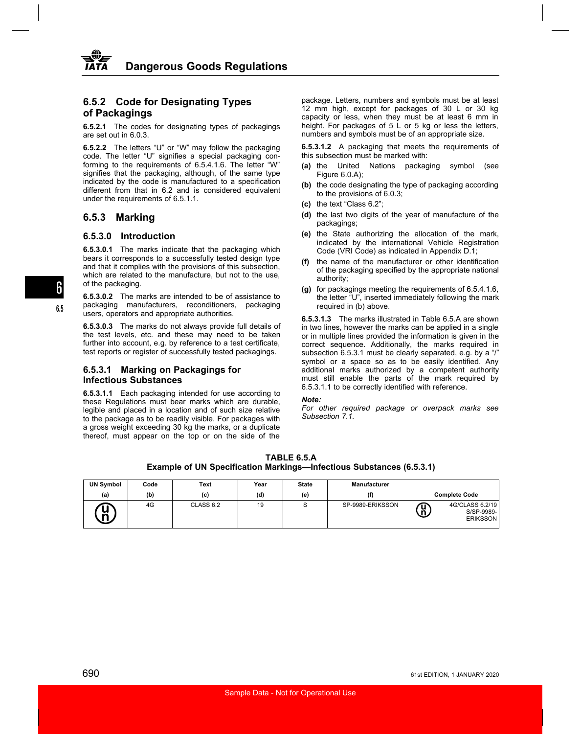are set out in 6.0.3. The contract of an appropriate size.

code. The letter "U" signifies a special packaging con-<br>forming to the requirements of  $6.5.4.1.6$ . The letter "W" signifies that the packaging, although, of the same type indicated by the code is manufactured to a specification indicated by the code is manufactured to a specification<br>different from that in 6.2 and is considered equivalent<br>under the requirements of 6.5.1.1.<br>(c) the text "Class 6.2";

**6.5.3.0.1** The marks indicate that the packaging which bears it corresponds to a successfully tested design type bears it corresponds to a successfully tested design type and that it complies with the provisions of this subsection,<br>which are related to the manufacture, but not to the use,<br>of the packaging specified by the appropriate

**6.5.3.0.2** The marks are intended to be of assistance to the letter "U", inserted immediately following the mark packaging part and the mark required in (b) above. 6.5 packaging manufacturers, reconditioners, packaging<br>users, operators and appropriate authorities.

**6.5.3.0.3** The marks do not always provide full details of in two lines, however the marks can be applied in a single the test levels, etc. and these may need to be taken or in multiple lines provided the information is g

**6.5.3.1.1** Each packaging intended for use according to these Regulations must bear marks which are durable,<br>In these Regulations must bear marks which are durable,<br>legible and placed in a location and of such size relative For other required package or overpack marks see legible and placed in a location and of such size relative *For other required package of the package of the package marks seeing 1.1.* to the package as to be readily visible. For packages with a gross weight exceeding 30 kg the marks, or a duplicate thereof, must appear on the top or on the side of the

**6.5.2 Code for Designating Types** package. Letters, numbers and symbols must be at least<br> **12** mm high, except for packages of 30 L or 30 kg 12 mm high, except for packages of 30 L or 30 kg **of Packagings** capacity or less, when they must be at least 6 mm in **6.5.2.1** The codes for designating types of packagings height. For packages of 5 L or 5 kg or less the letters,

**6.5.2.2** The letters "U" or "W" may follow the packaging **6.5.3.1.2** A packaging that meets the requirements of code. The letter "U" signifies a special packaging con-<br>code. The letter "U" signifies a special packaging co

- (a) the United Nations packaging symbol (see Figure 6.0.A);
- 
- 
- **6.5.3 Marking (d)** the last two digits of the year of manufacture of the **packagings**;
- **(e)** the State authorizing the allocation of the mark, **6.5.3.0 Introduction** indicated by the international Vehicle Registration<br>Code (VRI Code) as indicated in Appendix D.1;
	-
	-

**6.5.3.1.3** The marks illustrated in Table 6.5.A are shown the test levels, etc. and these may need to be taken or in multiple lines provided the information is given in the<br>further into account, e.g. by reference to a test certificate, correct sequence. Additionally, the marks re further into account, e.g. by reference to a test certificate, correct sequence. Additionally, the marks required in test reports or register of successfully tested packagings. Subsection 6.5.3.1 must be clearly separated, subsection 6.5.3.1 must be clearly separated, e.g. by a " $/$ " symbol or a space so as to be easily identified. Any **6.5.3.1 Marking on Packagings for additional marks authorized by a competent authority Infectious Substances Infectious Substances Infectious Substances** 6.5.3.1.1 to be correctly identified with reference.

**TABLE 6.5.A Example of UN Specification Markings—Infectious Substances (6.5.3.1)**

| <b>UN Symbol</b><br>(a) | Code<br>(b) | <b>Text</b><br>(c) | Year<br>(d) | <b>State</b><br>(e) | <b>Manufacturer</b> | <b>Complete Code</b>                                        |
|-------------------------|-------------|--------------------|-------------|---------------------|---------------------|-------------------------------------------------------------|
| u<br>n                  | 4G          | CLASS 6.2          | 19          | J                   | SP-9989-ERIKSSON    | 4G/CLASS 6.2/19<br>ัน<br>S/SP-9989-<br>Ö<br><b>ERIKSSON</b> |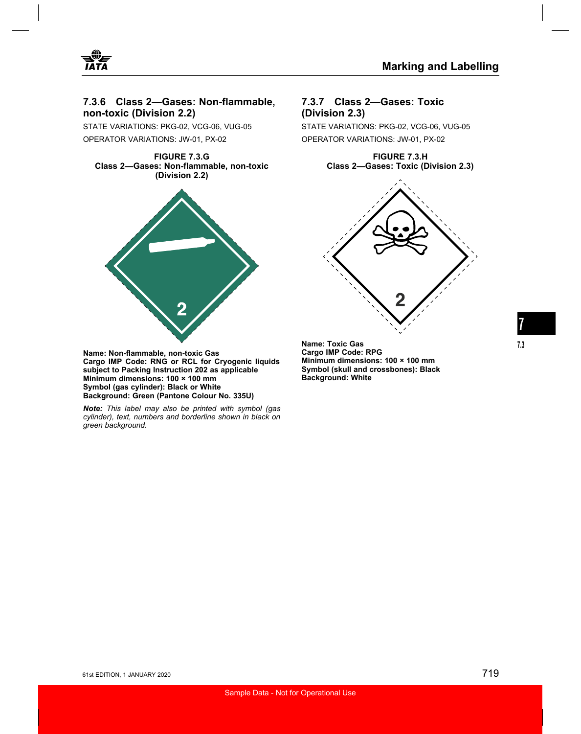

## **7.3.6 Class 2—Gases: Non-flammable, 7.3.7 Class 2—Gases: Toxic non-toxic (Division 2.2) (Division 2.3)**

OPERATOR VARIATIONS: JW-01, PX-02 OPERATOR VARIATIONS: JW-01, PX-02





**Name: Non-flammable, non-toxic Gas Cargo IMP Code: RPG Cargo IMP Code: RNG or RCL for Cryogenic liquids Minimum dimensions: 100 × 100 mm subject to Packing Instruction 202 as applicable <b>Symbol (skull and c**rossbones): 100 x 100 mm<br>Minimum dimensions: 100 x 100 mm **Minimum dimensions: 100 × 100 mm Symbol (gas cylinder): Black or White Background: Green (Pantone Colour No. 335U)**

*Note: This label may also be printed with symbol (gas cylinder), text, numbers and borderline shown in black on green background.*

STATE VARIATIONS: PKG-02, VCG-06, VUG-05 STATE VARIATIONS: PKG-02, VCG-06, VUG-05

**FIGURE 7.3.G FIGURE 7.3.H**



**Name: Toxic Gas 7.3**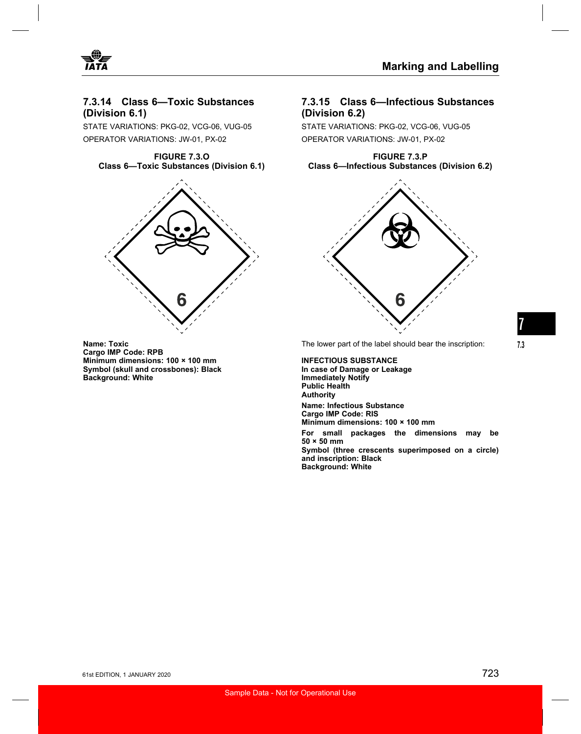

## **(Division 6.1) (Division 6.2)**

STATE VARIATIONS: PKG-02, VCG-06, VUG-05 STATE VARIATIONS: PKG-02, VCG-06, VUG-05 OPERATOR VARIATIONS: JW-01, PX-02 OPERATOR VARIATIONS: JW-01, PX-02



**Cargo IMP Code: RPB Minimum dimensions: 100 × 100 mm INFECTIOUS SUBSTANCE Symbol (skull and crossbones): Black Background: White Immediately Notify**

## **7.3.14 Class 6—Toxic Substances 7.3.15 Class 6—Infectious Substances**

**FIGURE 7.3.O FIGURE 7.3.P Class 6—Toxic Substances (Division 6.1) Class 6—Infectious Substances (Division 6.2)**



**Name: Toxic** The lower part of the label should bear the inscription: **7.3** 

**Public Health Authority Name: Infectious Substance Cargo IMP Code: RIS Minimum dimensions: 100 × 100 mm**

**For small packages the dimensions may be 50 × 50 mm**

**Symbol (three crescents superimposed on a circle) and inscription: Black Background: White**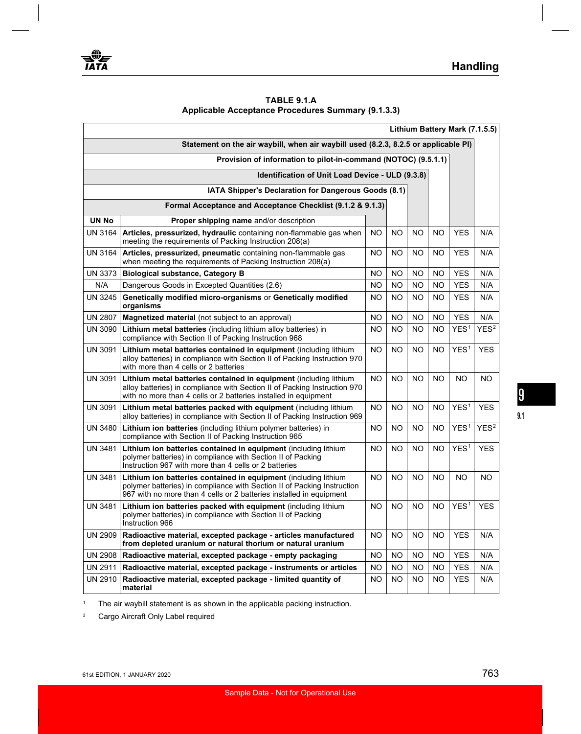## **TABLE 9.1.A Applicable Acceptance Procedures Summary (9.1.3.3)**

|                |                                                                                                                                                                                                                   |           |           |           |           | Lithium Battery Mark (7.1.5.5) |                  |
|----------------|-------------------------------------------------------------------------------------------------------------------------------------------------------------------------------------------------------------------|-----------|-----------|-----------|-----------|--------------------------------|------------------|
|                | Statement on the air waybill, when air waybill used (8.2.3, 8.2.5 or applicable PI)                                                                                                                               |           |           |           |           |                                |                  |
|                | Provision of information to pilot-in-command (NOTOC) (9.5.1.1)                                                                                                                                                    |           |           |           |           |                                |                  |
|                | Identification of Unit Load Device - ULD (9.3.8)                                                                                                                                                                  |           |           |           |           |                                |                  |
|                | IATA Shipper's Declaration for Dangerous Goods (8.1)                                                                                                                                                              |           |           |           |           |                                |                  |
|                | Formal Acceptance and Acceptance Checklist (9.1.2 & 9.1.3)                                                                                                                                                        |           |           |           |           |                                |                  |
| <b>UN No</b>   | Proper shipping name and/or description                                                                                                                                                                           |           |           |           |           |                                |                  |
| <b>UN 3164</b> | Articles, pressurized, hydraulic containing non-flammable gas when<br>meeting the requirements of Packing Instruction 208(a)                                                                                      | <b>NO</b> | <b>NO</b> | <b>NO</b> | <b>NO</b> | <b>YES</b>                     | N/A              |
| <b>UN 3164</b> | Articles, pressurized, pneumatic containing non-flammable gas<br>when meeting the requirements of Packing Instruction 208(a)                                                                                      | <b>NO</b> | <b>NO</b> | <b>NO</b> | <b>NO</b> | <b>YES</b>                     | N/A              |
| <b>UN 3373</b> | <b>Biological substance, Category B</b>                                                                                                                                                                           | <b>NO</b> | <b>NO</b> | <b>NO</b> | <b>NO</b> | <b>YES</b>                     | N/A              |
| N/A            | Dangerous Goods in Excepted Quantities (2.6)                                                                                                                                                                      | <b>NO</b> | <b>NO</b> | <b>NO</b> | <b>NO</b> | <b>YES</b>                     | N/A              |
| <b>UN 3245</b> | Genetically modified micro-organisms or Genetically modified<br>organisms                                                                                                                                         | <b>NO</b> | <b>NO</b> | <b>NO</b> | <b>NO</b> | <b>YES</b>                     | N/A              |
| <b>UN 2807</b> | <b>Magnetized material</b> (not subject to an approval)                                                                                                                                                           | <b>NO</b> | <b>NO</b> | <b>NO</b> | <b>NO</b> | <b>YES</b>                     | N/A              |
| <b>UN 3090</b> | Lithium metal batteries (including lithium alloy batteries) in<br>compliance with Section II of Packing Instruction 968                                                                                           | <b>NO</b> | <b>NO</b> | <b>NO</b> | <b>NO</b> | YES <sup>1</sup>               | YES <sup>2</sup> |
| <b>UN 3091</b> | Lithium metal batteries contained in equipment (including lithium<br>alloy batteries) in compliance with Section II of Packing Instruction 970<br>with more than 4 cells or 2 batteries                           | <b>NO</b> | <b>NO</b> | <b>NO</b> | <b>NO</b> | YES <sup>1</sup>               | <b>YES</b>       |
| <b>UN 3091</b> | Lithium metal batteries contained in equipment (including lithium<br>alloy batteries) in compliance with Section II of Packing Instruction 970<br>with no more than 4 cells or 2 batteries installed in equipment | <b>NO</b> | <b>NO</b> | <b>NO</b> | <b>NO</b> | <b>NO</b>                      | <b>NO</b>        |
| <b>UN 3091</b> | Lithium metal batteries packed with equipment (including lithium<br>alloy batteries) in compliance with Section II of Packing Instruction 969                                                                     | <b>NO</b> | <b>NO</b> | <b>NO</b> | <b>NO</b> | YES <sup>1</sup>               | <b>YES</b>       |
| UN 3480        | Lithium ion batteries (including lithium polymer batteries) in<br>compliance with Section II of Packing Instruction 965                                                                                           | <b>NO</b> | <b>NO</b> | <b>NO</b> | <b>NO</b> | YES <sup>1</sup>               | YES <sup>2</sup> |
| <b>UN 3481</b> | Lithium ion batteries contained in equipment (including lithium<br>polymer batteries) in compliance with Section II of Packing<br>Instruction 967 with more than 4 cells or 2 batteries                           | <b>NO</b> | <b>NO</b> | <b>NO</b> | <b>NO</b> | YES <sup>1</sup>               | <b>YES</b>       |
| <b>UN 3481</b> | Lithium ion batteries contained in equipment (including lithium<br>polymer batteries) in compliance with Section II of Packing Instruction<br>967 with no more than 4 cells or 2 batteries installed in equipment | <b>NO</b> | <b>NO</b> | <b>NO</b> | <b>NO</b> | <b>NO</b>                      | <b>NO</b>        |
| <b>UN 3481</b> | Lithium ion batteries packed with equipment (including lithium<br>polymer batteries) in compliance with Section II of Packing<br>Instruction 966                                                                  | NO.       | NO.       | NO.       |           | $NO$   $YES1$                  | <b>YES</b>       |
| <b>UN 2909</b> | Radioactive material, excepted package - articles manufactured<br>from depleted uranium or natural thorium or natural uranium                                                                                     | <b>NO</b> | <b>NO</b> | <b>NO</b> | <b>NO</b> | <b>YES</b>                     | N/A              |
| <b>UN 2908</b> | Radioactive material, excepted package - empty packaging                                                                                                                                                          | <b>NO</b> | <b>NO</b> | <b>NO</b> | <b>NO</b> | <b>YES</b>                     | N/A              |
| UN 2911        | Radioactive material, excepted package - instruments or articles                                                                                                                                                  | NO.       | <b>NO</b> | <b>NO</b> | <b>NO</b> | <b>YES</b>                     | N/A              |
| <b>UN 2910</b> | Radioactive material, excepted package - limited quantity of<br>material                                                                                                                                          | <b>NO</b> | <b>NO</b> | <b>NO</b> | <b>NO</b> | <b>YES</b>                     | N/A              |

<sup>1</sup> The air waybill statement is as shown in the applicable packing instruction.

<sup>2</sup> Cargo Aircraft Only Label required